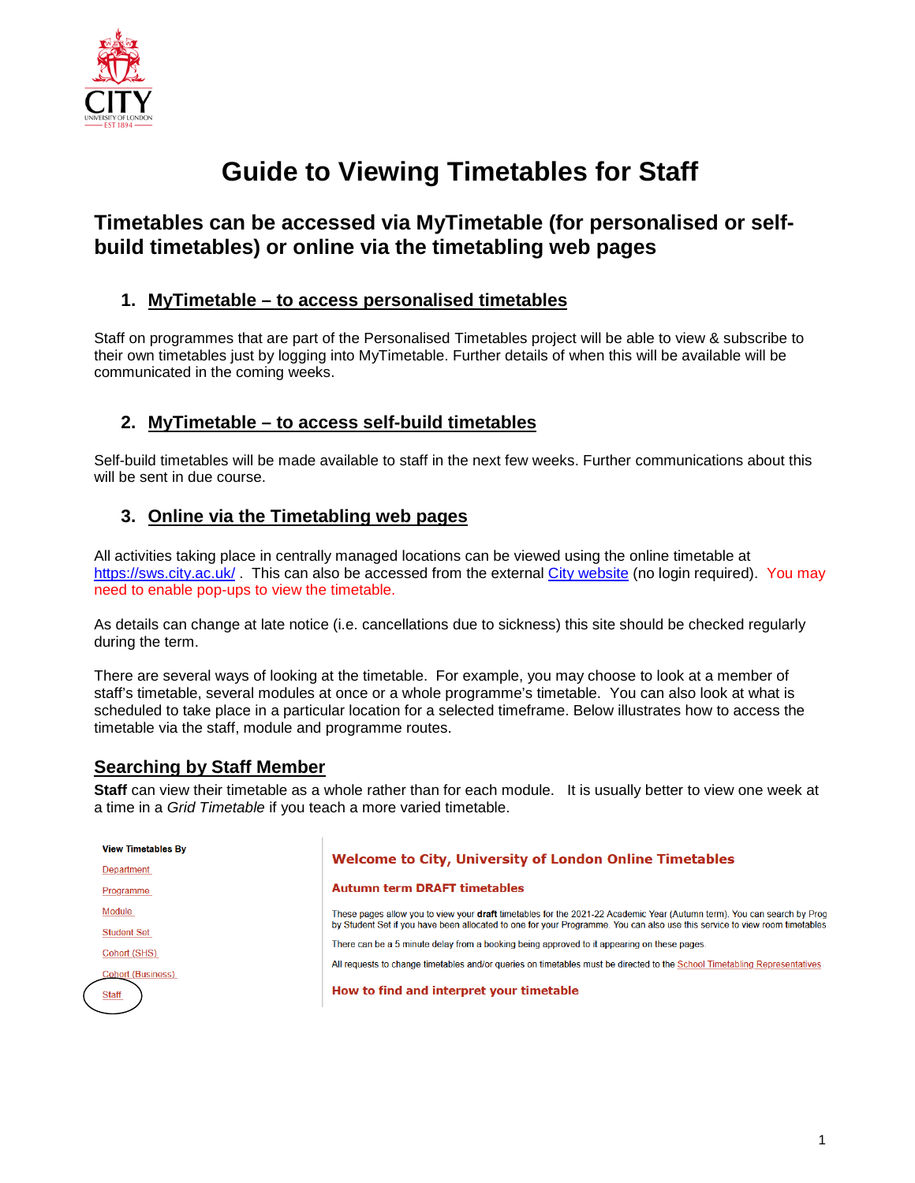

# **Guide to Viewing Timetables for Staff**

# **Timetables can be accessed via MyTimetable (for personalised or selfbuild timetables) or online via the timetabling web pages**

#### **1. MyTimetable – to access personalised timetables**

Staff on programmes that are part of the Personalised Timetables project will be able to view & subscribe to their own timetables just by logging into MyTimetable. Further details of when this will be available will be communicated in the coming weeks.

### **2. MyTimetable – to access self-build timetables**

Self-build timetables will be made available to staff in the next few weeks. Further communications about this will be sent in due course.

### **3. Online via the Timetabling web pages**

All activities taking place in centrally managed locations can be viewed using the online timetable at <https://sws.city.ac.uk/>. This can also be accessed from the external [City website](https://www.city.ac.uk/about/vision-and-strategy/academic-excellence/education/academic-year-and-term-dates) (no login required). You may need to enable pop-ups to view the timetable.

As details can change at late notice (i.e. cancellations due to sickness) this site should be checked regularly during the term.

There are several ways of looking at the timetable. For example, you may choose to look at a member of staff's timetable, several modules at once or a whole programme's timetable. You can also look at what is scheduled to take place in a particular location for a selected timeframe. Below illustrates how to access the timetable via the staff, module and programme routes.

#### **Searching by Staff Member**

**Staff** can view their timetable as a whole rather than for each module. It is usually better to view one week at a time in a *Grid Timetable* if you teach a more varied timetable.

| <b>View Timetables By</b> |                                                                                                                                |
|---------------------------|--------------------------------------------------------------------------------------------------------------------------------|
| Department                | Welcome to City, University of London Online Timetables                                                                        |
| Programme                 | <b>Autumn term DRAFT timetables</b>                                                                                            |
| Module                    | These pages allow you to view your <b>draft</b> timetables for the 2021-22 Academic Year (Autumn term). You can search by Prog |
| <b>Student Set</b>        | by Student Set if you have been allocated to one for your Programme. You can also use this service to view room timetables     |
| Cohort (SHS)              | There can be a 5 minute delay from a booking being approved to it appearing on these pages.                                    |
| <b>Cohort (Business)</b>  | All requests to change timetables and/or queries on timetables must be directed to the School Timetabling Representatives      |
| <b>Staff</b>              | How to find and interpret your timetable                                                                                       |
|                           |                                                                                                                                |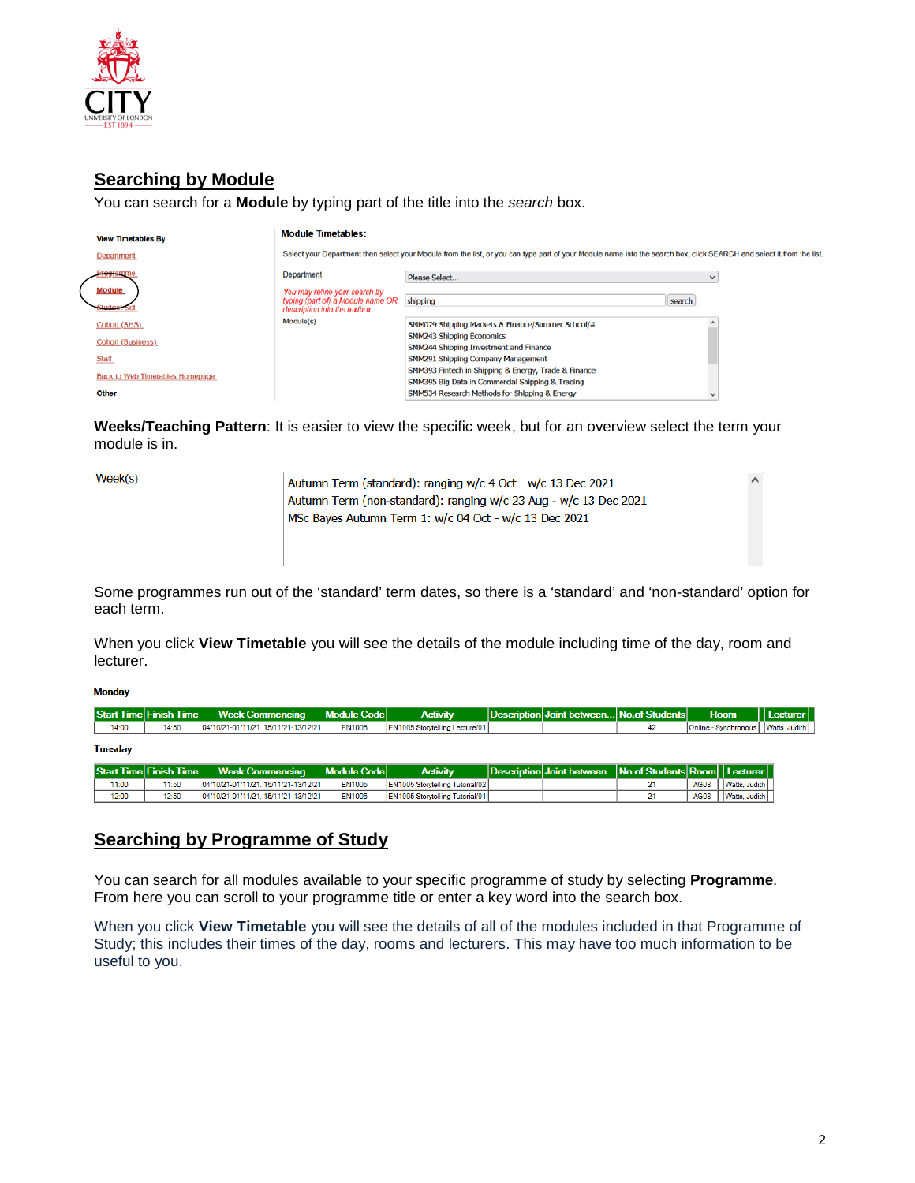

## **Searching by Module**

You can search for a **Module** by typing part of the title into the *search* box.

| <b>View Timetables By</b>              | <b>Module Timetables:</b>                                                                           |                                                                                                                                                                       |        |  |  |  |
|----------------------------------------|-----------------------------------------------------------------------------------------------------|-----------------------------------------------------------------------------------------------------------------------------------------------------------------------|--------|--|--|--|
| Department                             |                                                                                                     | Select your Department then select your Module from the list, or you can type part of your Module name into the search box, click SEARCH and select it from the list. |        |  |  |  |
|                                        | Department                                                                                          | Please Select                                                                                                                                                         |        |  |  |  |
| <b>Module</b>                          | You may refine your search by<br>typing (part of) a Module name OR<br>description into the textbox: | shipping                                                                                                                                                              | search |  |  |  |
| Cohort (SHS)                           | Module(s)                                                                                           | SMM079 Shipping Markets & Finance/Summer School/#                                                                                                                     |        |  |  |  |
| <b>Cohort (Business)</b>               |                                                                                                     | SMM243 Shipping Economics<br>SMM244 Shipping Investment and Finance                                                                                                   |        |  |  |  |
| <b>Staff</b>                           |                                                                                                     | SMM291 Shipping Company Management                                                                                                                                    |        |  |  |  |
| <b>Back to Web Timetables Homepage</b> |                                                                                                     | SMM393 Fintech in Shipping & Energy, Trade & Finance<br>SMM395 Big Data in Commercial Shipping & Trading                                                              |        |  |  |  |
| Other                                  |                                                                                                     | SMM534 Research Methods for Shipping & Energy                                                                                                                         |        |  |  |  |

**Weeks/Teaching Pattern**: It is easier to view the specific week, but for an overview select the term your module is in.

Week(s)

| Autumn Term (standard): ranging w/c 4 Oct - w/c 13 Dec 2021      |  |
|------------------------------------------------------------------|--|
| Autumn Term (non-standard): ranging w/c 23 Aug - w/c 13 Dec 2021 |  |
| MSc Bayes Autumn Term 1: w/c 04 Oct - w/c 13 Dec 2021            |  |
|                                                                  |  |
|                                                                  |  |
|                                                                  |  |

Some programmes run out of the 'standard' term dates, so there is a 'standard' and 'non-standard' option for each term.

When you click **View Timetable** you will see the details of the module including time of the day, room and lecturer.

#### **Monday**

|                | <b>Start Time Finish Time</b> | <b>Week Commencing</b>               | Module Code   | <b>Activity</b>                        | Description Joint between No.of Students                 |    | <b>Room</b>                  | Lecturer      |
|----------------|-------------------------------|--------------------------------------|---------------|----------------------------------------|----------------------------------------------------------|----|------------------------------|---------------|
| 14:00          | 14:50                         | 04/10/21-01/11/21.15/11/21-13/12/21  | <b>EN1005</b> | <b>EN1005 Storvtelling Lecture/01</b>  |                                                          | 42 | Online - Synchronous         | Watts, Judith |
| <b>Tuesday</b> |                               |                                      |               |                                        |                                                          |    |                              |               |
|                | <b>Start Time Finish Time</b> | <b>Week Commencing</b>               | Module Code   | <b>Activity</b>                        | Description Joint between No.of Students Room   Lecturer |    |                              |               |
| 11:00          | 11:50                         | 04/10/21-01/11/21, 15/11/21-13/12/21 | <b>EN1005</b> | <b>EN1005 Storytelling Tutorial/02</b> |                                                          |    | Watts, Judith<br><b>AG08</b> |               |
| 12:00          | 12:50                         | 04/10/21-01/11/21, 15/11/21-13/12/21 | <b>EN1005</b> | <b>EN1005 Storytelling Tutorial/01</b> |                                                          |    | <b>AG08</b><br>Watts, Judith |               |

#### **Searching by Programme of Study**

You can search for all modules available to your specific programme of study by selecting **Programme**. From here you can scroll to your programme title or enter a key word into the search box.

When you click **View Timetable** you will see the details of all of the modules included in that Programme of Study; this includes their times of the day, rooms and lecturers. This may have too much information to be useful to you.